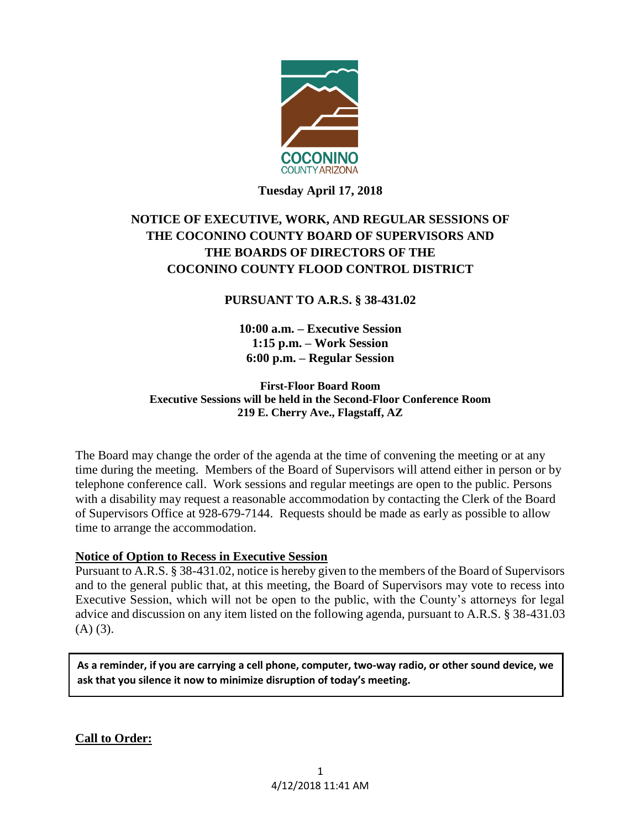

# **Tuesday April 17, 2018**

# **NOTICE OF EXECUTIVE, WORK, AND REGULAR SESSIONS OF THE COCONINO COUNTY BOARD OF SUPERVISORS AND THE BOARDS OF DIRECTORS OF THE COCONINO COUNTY FLOOD CONTROL DISTRICT**

# **PURSUANT TO A.R.S. § 38-431.02**

**10:00 a.m. – Executive Session 1:15 p.m. – Work Session 6:00 p.m. – Regular Session**

**First-Floor Board Room Executive Sessions will be held in the Second-Floor Conference Room 219 E. Cherry Ave., Flagstaff, AZ**

The Board may change the order of the agenda at the time of convening the meeting or at any time during the meeting. Members of the Board of Supervisors will attend either in person or by telephone conference call. Work sessions and regular meetings are open to the public. Persons with a disability may request a reasonable accommodation by contacting the Clerk of the Board of Supervisors Office at 928-679-7144. Requests should be made as early as possible to allow time to arrange the accommodation.

### **Notice of Option to Recess in Executive Session**

Pursuant to A.R.S. § 38-431.02, notice is hereby given to the members of the Board of Supervisors and to the general public that, at this meeting, the Board of Supervisors may vote to recess into Executive Session, which will not be open to the public, with the County's attorneys for legal advice and discussion on any item listed on the following agenda, pursuant to A.R.S. § 38-431.03  $(A)$   $(3)$ .

**As a reminder, if you are carrying a cell phone, computer, two-way radio, or other sound device, we ask that you silence it now to minimize disruption of today's meeting.**

**Call to Order:**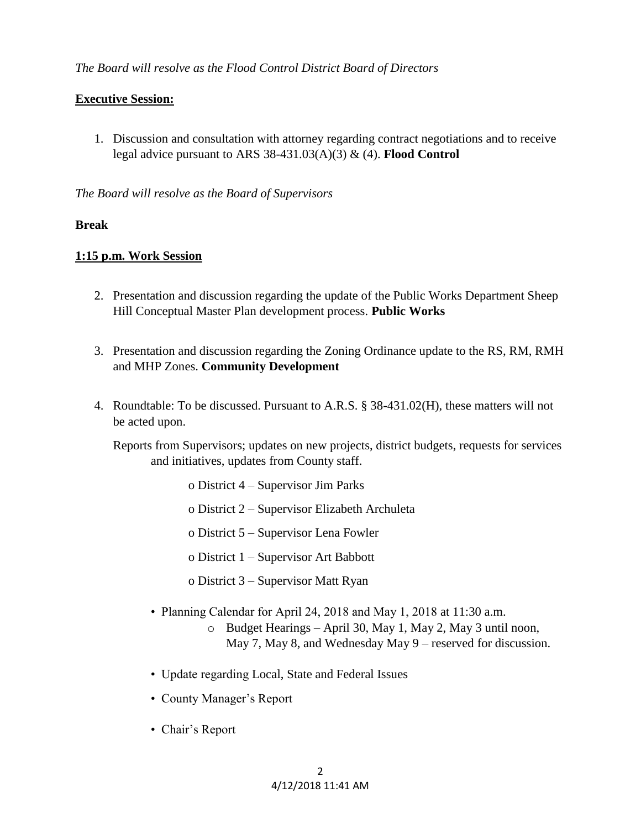# **Executive Session:**

1. Discussion and consultation with attorney regarding contract negotiations and to receive legal advice pursuant to ARS 38-431.03(A)(3) & (4). **Flood Control**

# *The Board will resolve as the Board of Supervisors*

# **Break**

# **1:15 p.m. Work Session**

- 2. Presentation and discussion regarding the update of the Public Works Department Sheep Hill Conceptual Master Plan development process. **Public Works**
- 3. Presentation and discussion regarding the Zoning Ordinance update to the RS, RM, RMH and MHP Zones. **Community Development**
- 4. Roundtable: To be discussed. Pursuant to A.R.S. § 38-431.02(H), these matters will not be acted upon.

Reports from Supervisors; updates on new projects, district budgets, requests for services and initiatives, updates from County staff.

- o District 4 Supervisor Jim Parks
- o District 2 Supervisor Elizabeth Archuleta
- o District 5 Supervisor Lena Fowler
- o District 1 Supervisor Art Babbott
- o District 3 Supervisor Matt Ryan
- Planning Calendar for April 24, 2018 and May 1, 2018 at 11:30 a.m.
	- o Budget Hearings April 30, May 1, May 2, May 3 until noon, May 7, May 8, and Wednesday May 9 – reserved for discussion.
- Update regarding Local, State and Federal Issues
- County Manager's Report
- Chair's Report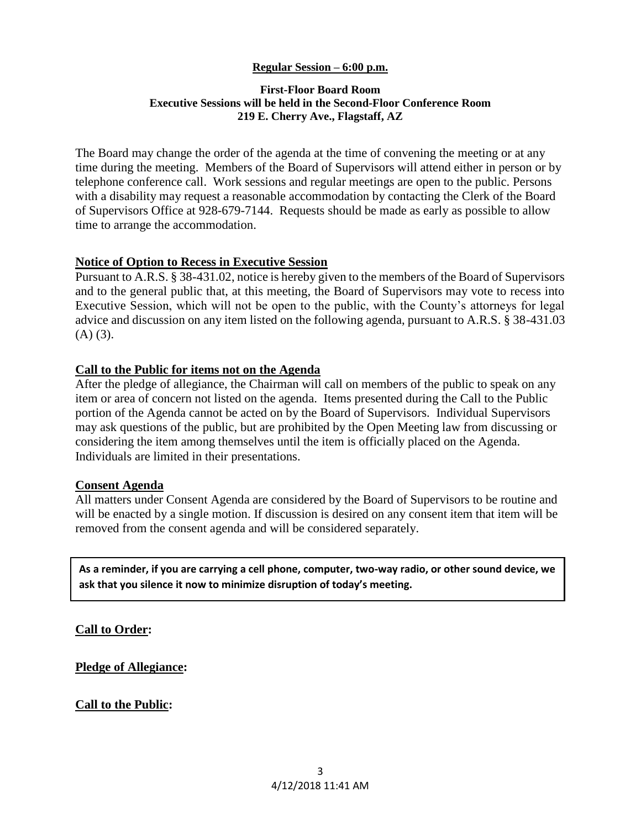### **Regular Session – 6:00 p.m.**

#### **First-Floor Board Room Executive Sessions will be held in the Second-Floor Conference Room 219 E. Cherry Ave., Flagstaff, AZ**

The Board may change the order of the agenda at the time of convening the meeting or at any time during the meeting. Members of the Board of Supervisors will attend either in person or by telephone conference call. Work sessions and regular meetings are open to the public. Persons with a disability may request a reasonable accommodation by contacting the Clerk of the Board of Supervisors Office at 928-679-7144. Requests should be made as early as possible to allow time to arrange the accommodation.

### **Notice of Option to Recess in Executive Session**

Pursuant to A.R.S. § 38-431.02, notice is hereby given to the members of the Board of Supervisors and to the general public that, at this meeting, the Board of Supervisors may vote to recess into Executive Session, which will not be open to the public, with the County's attorneys for legal advice and discussion on any item listed on the following agenda, pursuant to A.R.S. § 38-431.03  $(A)$   $(3)$ .

### **Call to the Public for items not on the Agenda**

After the pledge of allegiance, the Chairman will call on members of the public to speak on any item or area of concern not listed on the agenda. Items presented during the Call to the Public portion of the Agenda cannot be acted on by the Board of Supervisors. Individual Supervisors may ask questions of the public, but are prohibited by the Open Meeting law from discussing or considering the item among themselves until the item is officially placed on the Agenda. Individuals are limited in their presentations.

#### **Consent Agenda**

All matters under Consent Agenda are considered by the Board of Supervisors to be routine and will be enacted by a single motion. If discussion is desired on any consent item that item will be removed from the consent agenda and will be considered separately.

**As a reminder, if you are carrying a cell phone, computer, two-way radio, or other sound device, we ask that you silence it now to minimize disruption of today's meeting.**

**Call to Order:** 

**Pledge of Allegiance:**

**Call to the Public: ences of the system of the system of the system of the system of the system of the system of the system of the system of the system of the system of the system of the system of the system of the syst**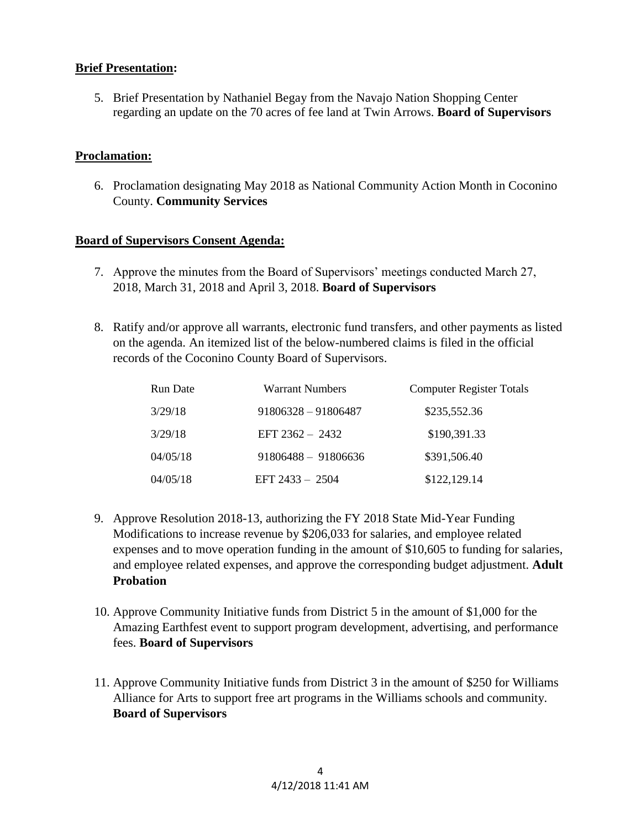# **Brief Presentation:**

5. Brief Presentation by Nathaniel Begay from the Navajo Nation Shopping Center regarding an update on the 70 acres of fee land at Twin Arrows. **Board of Supervisors**

# **Proclamation:**

6. Proclamation designating May 2018 as National Community Action Month in Coconino County. **Community Services**

# **Board of Supervisors Consent Agenda:**

- 7. Approve the minutes from the Board of Supervisors' meetings conducted March 27, 2018, March 31, 2018 and April 3, 2018. **Board of Supervisors**
- 8. Ratify and/or approve all warrants, electronic fund transfers, and other payments as listed on the agenda. An itemized list of the below-numbered claims is filed in the official records of the Coconino County Board of Supervisors.

| <b>Run Date</b> | <b>Warrant Numbers</b> | <b>Computer Register Totals</b> |
|-----------------|------------------------|---------------------------------|
| 3/29/18         | $91806328 - 91806487$  | \$235,552.36                    |
| 3/29/18         | EFT $2362 - 2432$      | \$190,391.33                    |
| 04/05/18        | $91806488 - 91806636$  | \$391,506.40                    |
| 04/05/18        | EFT $2433 - 2504$      | \$122,129.14                    |

- 9. Approve Resolution 2018-13, authorizing the FY 2018 State Mid-Year Funding Modifications to increase revenue by \$206,033 for salaries, and employee related expenses and to move operation funding in the amount of \$10,605 to funding for salaries, and employee related expenses, and approve the corresponding budget adjustment. **Adult Probation**
- 10. Approve Community Initiative funds from District 5 in the amount of \$1,000 for the Amazing Earthfest event to support program development, advertising, and performance fees. **Board of Supervisors**
- 11. Approve Community Initiative funds from District 3 in the amount of \$250 for Williams Alliance for Arts to support free art programs in the Williams schools and community. **Board of Supervisors**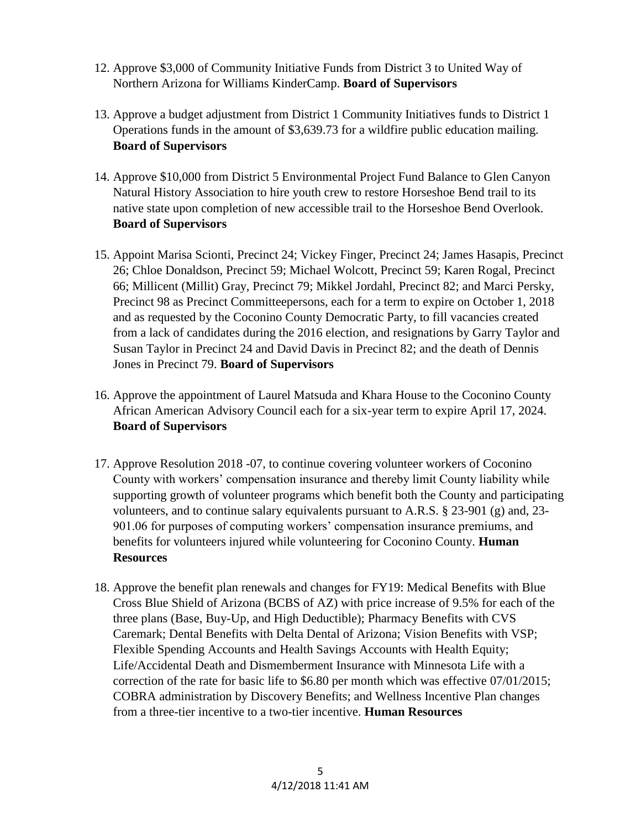- 12. Approve \$3,000 of Community Initiative Funds from District 3 to United Way of Northern Arizona for Williams KinderCamp. **Board of Supervisors**
- 13. Approve a budget adjustment from District 1 Community Initiatives funds to District 1 Operations funds in the amount of \$3,639.73 for a wildfire public education mailing. **Board of Supervisors**
- 14. Approve \$10,000 from District 5 Environmental Project Fund Balance to Glen Canyon Natural History Association to hire youth crew to restore Horseshoe Bend trail to its native state upon completion of new accessible trail to the Horseshoe Bend Overlook. **Board of Supervisors**
- 15. Appoint Marisa Scionti, Precinct 24; Vickey Finger, Precinct 24; James Hasapis, Precinct 26; Chloe Donaldson, Precinct 59; Michael Wolcott, Precinct 59; Karen Rogal, Precinct 66; Millicent (Millit) Gray, Precinct 79; Mikkel Jordahl, Precinct 82; and Marci Persky, Precinct 98 as Precinct Committeepersons, each for a term to expire on October 1, 2018 and as requested by the Coconino County Democratic Party, to fill vacancies created from a lack of candidates during the 2016 election, and resignations by Garry Taylor and Susan Taylor in Precinct 24 and David Davis in Precinct 82; and the death of Dennis Jones in Precinct 79. **Board of Supervisors**
- 16. Approve the appointment of Laurel Matsuda and Khara House to the Coconino County African American Advisory Council each for a six-year term to expire April 17, 2024. **Board of Supervisors**
- 17. Approve Resolution 2018 -07, to continue covering volunteer workers of Coconino County with workers' compensation insurance and thereby limit County liability while supporting growth of volunteer programs which benefit both the County and participating volunteers, and to continue salary equivalents pursuant to A.R.S. § 23-901 (g) and, 23- 901.06 for purposes of computing workers' compensation insurance premiums, and benefits for volunteers injured while volunteering for Coconino County. **Human Resources**
- 18. Approve the benefit plan renewals and changes for FY19: Medical Benefits with Blue Cross Blue Shield of Arizona (BCBS of AZ) with price increase of 9.5% for each of the three plans (Base, Buy-Up, and High Deductible); Pharmacy Benefits with CVS Caremark; Dental Benefits with Delta Dental of Arizona; Vision Benefits with VSP; Flexible Spending Accounts and Health Savings Accounts with Health Equity; Life/Accidental Death and Dismemberment Insurance with Minnesota Life with a correction of the rate for basic life to \$6.80 per month which was effective 07/01/2015; COBRA administration by Discovery Benefits; and Wellness Incentive Plan changes from a three-tier incentive to a two-tier incentive. **Human Resources**